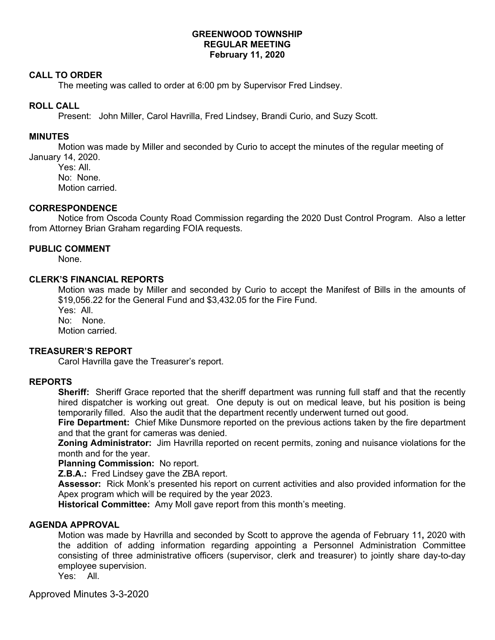### **GREENWOOD TOWNSHIP REGULAR MEETING February 11, 2020**

#### **CALL TO ORDER**

The meeting was called to order at 6:00 pm by Supervisor Fred Lindsey.

### **ROLL CALL**

Present: John Miller, Carol Havrilla, Fred Lindsey, Brandi Curio, and Suzy Scott.

### **MINUTES**

Motion was made by Miller and seconded by Curio to accept the minutes of the regular meeting of January 14, 2020.

Yes: All. No: None. Motion carried.

#### **CORRESPONDENCE**

 Notice from Oscoda County Road Commission regarding the 2020 Dust Control Program. Also a letter from Attorney Brian Graham regarding FOIA requests.

# **PUBLIC COMMENT**

None.

## **CLERK'S FINANCIAL REPORTS**

Motion was made by Miller and seconded by Curio to accept the Manifest of Bills in the amounts of \$19,056.22 for the General Fund and \$3,432.05 for the Fire Fund.

Yes: All.

No: None.

Motion carried.

## **TREASURER'S REPORT**

Carol Havrilla gave the Treasurer's report.

#### **REPORTS**

**Sheriff:** Sheriff Grace reported that the sheriff department was running full staff and that the recently hired dispatcher is working out great. One deputy is out on medical leave, but his position is being temporarily filled. Also the audit that the department recently underwent turned out good.

**Fire Department:** Chief Mike Dunsmore reported on the previous actions taken by the fire department and that the grant for cameras was denied.

**Zoning Administrator:** Jim Havrilla reported on recent permits, zoning and nuisance violations for the month and for the year.

**Planning Commission:** No report.

**Z.B.A.:** Fred Lindsey gave the ZBA report.

**Assessor:** Rick Monk's presented his report on current activities and also provided information for the Apex program which will be required by the year 2023.

**Historical Committee:** Amy Moll gave report from this month's meeting.

## **AGENDA APPROVAL**

Motion was made by Havrilla and seconded by Scott to approve the agenda of February 11**,** 2020 with the addition of adding information regarding appointing a Personnel Administration Committee consisting of three administrative officers (supervisor, clerk and treasurer) to jointly share day-to-day employee supervision.

Yes: All.

Approved Minutes 3-3-2020